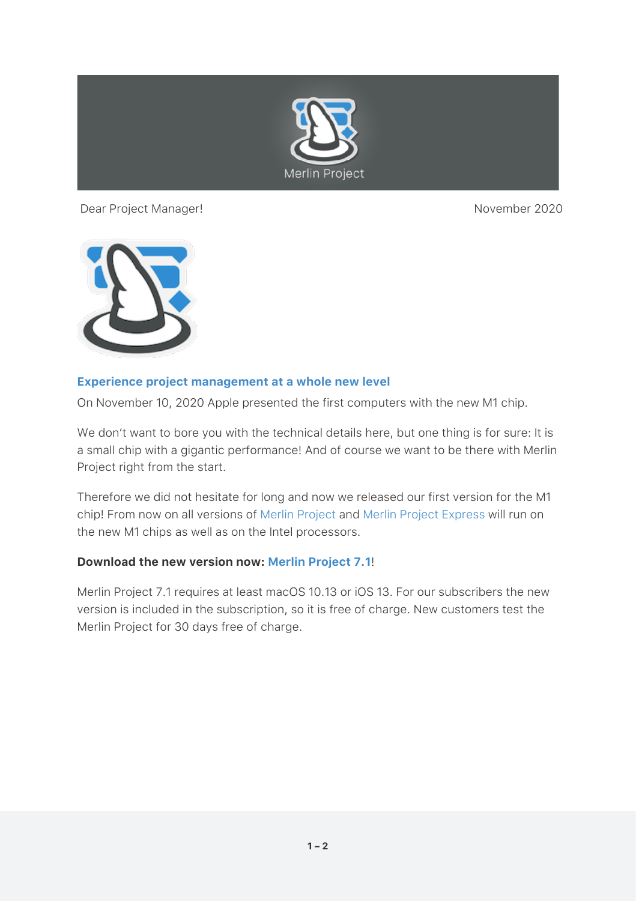

Dear Project Manager! November 2020



## **[Experience project management at a whole new level](https://www.projectwizards.net/en/merlin-project/download?affiliateID=1338D999-1608-4E6F-A6BE-B2CFDD8D10B2)**

On November 10, 2020 Apple presented the first computers with the new M1 chip.

We don't want to bore you with the technical details here, but one thing is for sure: It is a small chip with a gigantic performance! And of course we want to be there with Merlin Project right from the start.

Therefore we did not hesitate for long and now we released our first version for the M1 chip! From now on all versions of [Merlin Project](https://www.projectwizards.net/en/merlin-project) and [Merlin Project Express](https://www.projectwizards.net/en/merlin-project-express) will run on the new M1 chips as well as on the Intel processors.

## **Download the new version now: [Merlin Project 7.1](https://www.projectwizards.net/en/merlin-project/download?affiliateID=1338D999-1608-4E6F-A6BE-B2CFDD8D10B2)**!

Merlin Project 7.1 requires at least macOS 10.13 or iOS 13. For our subscribers the new version is included in the subscription, so it is free of charge. New customers test the Merlin Project for 30 days free of charge.